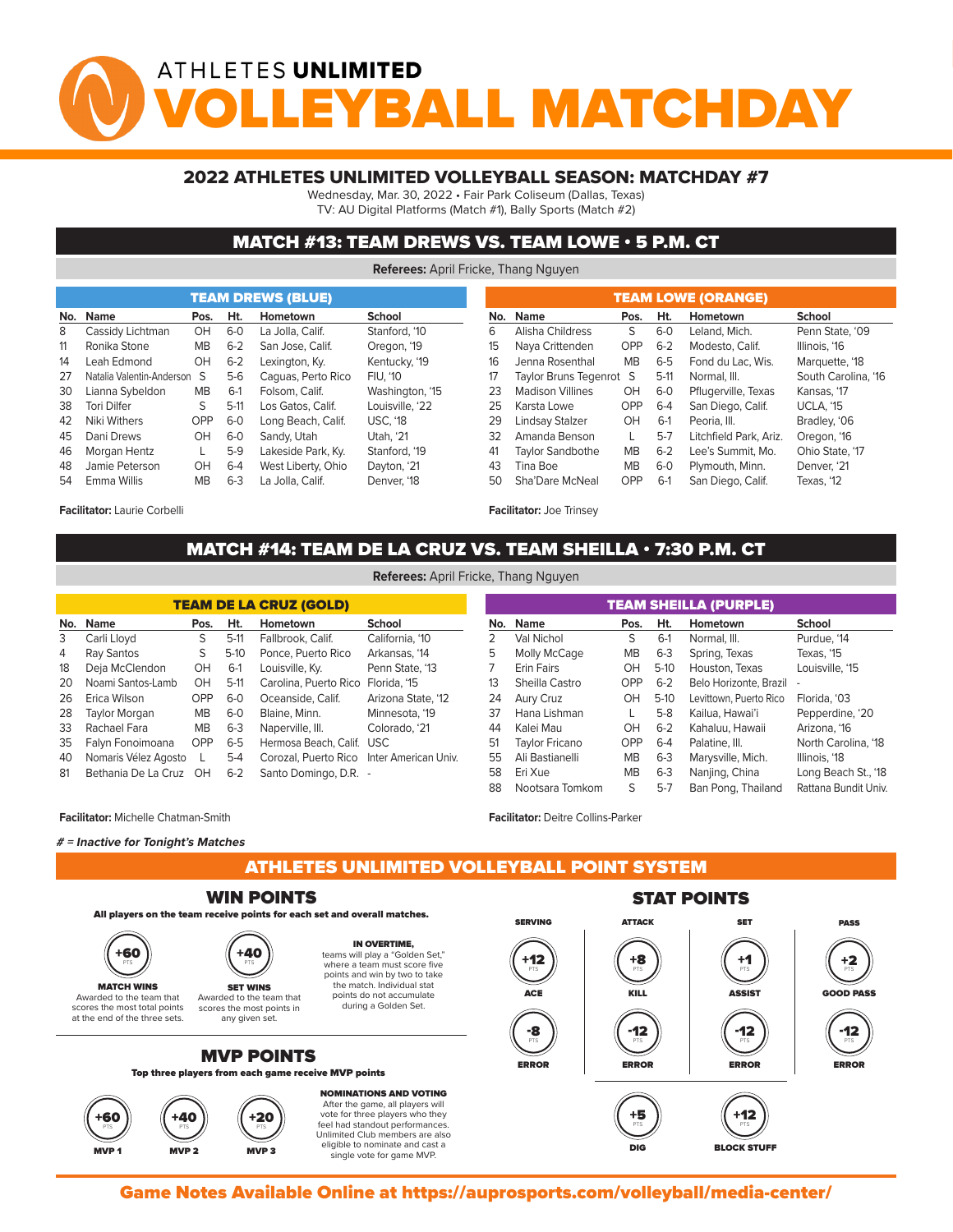# ATHLETES UNLIMITED YBALL MATCHDA

### 2022 ATHLETES UNLIMITED VOLLEYBALL SEASON: MATCHDAY #7

Wednesday, Mar. 30, 2022 • Fair Park Coliseum (Dallas, Texas)

TV: AU Digital Platforms (Match #1), Bally Sports (Match #2)

### MATCH #13: TEAM DREWS VS. TEAM LOWE • 5 P.M. CT

**Referees:** April Fricke, Thang Nguyen

| <b>Name</b><br>Ht.<br>School<br>Name<br>Hometown<br>No.<br>Pos.<br>No.<br>Pos.<br>Stanford. '10<br>S<br>Cassidy Lichtman<br>OH<br>$6 - 0$<br>La Jolla, Calif.<br>Alisha Childress<br>6<br>8<br>$6 - 2$<br><b>OPP</b><br>Naya Crittenden<br>Ronika Stone<br><b>MB</b><br>15<br>11<br>San Jose, Calif.<br>Oregon, '19<br>OH<br>$6 - 2$<br><b>MB</b><br>14<br>Kentucky, '19<br>16<br>Jenna Rosenthal<br>Leah Edmond<br>Lexington, Ky.<br>Natalia Valentin-Anderson S<br>$5-6$<br>Caguas, Perto Rico<br>Taylor Bruns Tegenrot S<br><b>FIU. '10</b><br>27<br>17<br><b>MB</b><br>OH<br>Lianna Sybeldon<br>$6-1$<br>Folsom, Calif.<br>Washington, '15<br><b>Madison Villines</b><br>23<br>30<br>S<br>$5-11$<br>Louisville, '22<br>OPP<br><b>Tori Dilfer</b><br>Los Gatos, Calif.<br>25<br>38<br>Karsta Lowe<br><b>OPP</b><br>$6-0$<br><b>USC. '18</b><br>OH<br>Niki Withers<br>29<br>Lindsay Stalzer<br>Long Beach, Calif.<br>42<br>OH<br>$6-0$<br>Dani Drews<br>Sandy, Utah<br>Utah. '21<br>32<br>Amanda Benson<br>45 |    |              |  |       | <b>TEAM DREWS (BLUE)</b> |               | <b>TEAM LOWE (ORANGE)</b> |                         |           |         |  |                        |  |  |  |  |  |
|-----------------------------------------------------------------------------------------------------------------------------------------------------------------------------------------------------------------------------------------------------------------------------------------------------------------------------------------------------------------------------------------------------------------------------------------------------------------------------------------------------------------------------------------------------------------------------------------------------------------------------------------------------------------------------------------------------------------------------------------------------------------------------------------------------------------------------------------------------------------------------------------------------------------------------------------------------------------------------------------------------------------|----|--------------|--|-------|--------------------------|---------------|---------------------------|-------------------------|-----------|---------|--|------------------------|--|--|--|--|--|
| $6-0$<br>$6 - 2$<br>$6 - 5$<br>$5-11$<br>$6-0$<br>$6 - 4$<br>$6-1$<br>$5 - 7$                                                                                                                                                                                                                                                                                                                                                                                                                                                                                                                                                                                                                                                                                                                                                                                                                                                                                                                                   |    |              |  |       |                          |               |                           |                         |           | Ht.     |  | Hometown               |  |  |  |  |  |
|                                                                                                                                                                                                                                                                                                                                                                                                                                                                                                                                                                                                                                                                                                                                                                                                                                                                                                                                                                                                                 |    |              |  |       |                          |               |                           |                         |           |         |  | Leland, Mich.          |  |  |  |  |  |
|                                                                                                                                                                                                                                                                                                                                                                                                                                                                                                                                                                                                                                                                                                                                                                                                                                                                                                                                                                                                                 |    |              |  |       |                          |               |                           |                         |           |         |  | Modesto, Calif.        |  |  |  |  |  |
|                                                                                                                                                                                                                                                                                                                                                                                                                                                                                                                                                                                                                                                                                                                                                                                                                                                                                                                                                                                                                 |    |              |  |       |                          |               |                           |                         |           |         |  | Fond du Lac. Wis.      |  |  |  |  |  |
|                                                                                                                                                                                                                                                                                                                                                                                                                                                                                                                                                                                                                                                                                                                                                                                                                                                                                                                                                                                                                 |    |              |  |       |                          |               |                           |                         |           |         |  | Normal, III.           |  |  |  |  |  |
|                                                                                                                                                                                                                                                                                                                                                                                                                                                                                                                                                                                                                                                                                                                                                                                                                                                                                                                                                                                                                 |    |              |  |       |                          |               |                           |                         |           |         |  | Pflugerville, Texas    |  |  |  |  |  |
|                                                                                                                                                                                                                                                                                                                                                                                                                                                                                                                                                                                                                                                                                                                                                                                                                                                                                                                                                                                                                 |    |              |  |       |                          |               |                           |                         |           |         |  | San Diego, Calif.      |  |  |  |  |  |
|                                                                                                                                                                                                                                                                                                                                                                                                                                                                                                                                                                                                                                                                                                                                                                                                                                                                                                                                                                                                                 |    |              |  |       |                          |               |                           |                         |           |         |  | Peoria, III.           |  |  |  |  |  |
|                                                                                                                                                                                                                                                                                                                                                                                                                                                                                                                                                                                                                                                                                                                                                                                                                                                                                                                                                                                                                 |    |              |  |       |                          |               |                           |                         |           |         |  | Litchfield Park, Ariz. |  |  |  |  |  |
|                                                                                                                                                                                                                                                                                                                                                                                                                                                                                                                                                                                                                                                                                                                                                                                                                                                                                                                                                                                                                 | 46 | Morgan Hentz |  | $5-9$ | Lakeside Park, Ky.       | Stanford, '19 | 41                        | <b>Taylor Sandbothe</b> | <b>MB</b> | $6 - 2$ |  | Lee's Summit. Mo.      |  |  |  |  |  |
| <b>MB</b><br>$6 - 4$<br>$6-0$<br>Jamie Peterson<br>OH<br>43<br>West Liberty, Ohio<br>Tina Boe<br>Dayton, '21<br>48                                                                                                                                                                                                                                                                                                                                                                                                                                                                                                                                                                                                                                                                                                                                                                                                                                                                                              |    |              |  |       |                          |               |                           |                         |           |         |  | Plymouth, Minn.        |  |  |  |  |  |
| $6 - 3$<br><b>OPP</b><br><b>MB</b><br>Sha'Dare McNeal<br>$6-1$<br>La Jolla, Calif.<br>Emma Willis<br>Denver. '18<br>50<br>54                                                                                                                                                                                                                                                                                                                                                                                                                                                                                                                                                                                                                                                                                                                                                                                                                                                                                    |    |              |  |       |                          |               |                           |                         |           |         |  | San Diego, Calif.      |  |  |  |  |  |

#### **Facilitator:** Laurie Corbelli

# MATCH #14: TEAM DE LA CRUZ VS. TEAM SHEILLA • 7:30 P.M. CT

**Facilitator:** Joe Trinsey

| <b>TEAM DE LA CRUZ (GOLD)</b> |                      |              |         |                                           |                    |  |  |  |  |  |  |  |  |
|-------------------------------|----------------------|--------------|---------|-------------------------------------------|--------------------|--|--|--|--|--|--|--|--|
| No.                           | <b>Name</b>          | Pos.         | Ht.     | Hometown                                  | <b>School</b>      |  |  |  |  |  |  |  |  |
| 3                             | Carli Lloyd          | S            | $5-11$  | Fallbrook, Calif.                         | California, '10    |  |  |  |  |  |  |  |  |
| 4                             | Ray Santos           | S            | $5-10$  | Ponce, Puerto Rico                        | Arkansas, '14      |  |  |  |  |  |  |  |  |
| 18                            | Deja McClendon       | OH           | $6-1$   | Louisville, Ky.                           | Penn State, '13    |  |  |  |  |  |  |  |  |
| 20                            | Noami Santos-Lamb    | <b>OH</b>    | $5-11$  | Carolina, Puerto Rico                     | Florida, '15       |  |  |  |  |  |  |  |  |
| 26                            | Erica Wilson         | OPP          | $6 - 0$ | Oceanside, Calif.                         | Arizona State, '12 |  |  |  |  |  |  |  |  |
| 28                            | Taylor Morgan        | <b>MB</b>    | $6-0$   | Blaine, Minn.                             | Minnesota, '19     |  |  |  |  |  |  |  |  |
| 33                            | Rachael Fara         | <b>MB</b>    | 6-3     | Naperville, III.                          | Colorado, '21      |  |  |  |  |  |  |  |  |
| 35                            | Falyn Fonoimoana     | <b>OPP</b>   | $6 - 5$ | Hermosa Beach, Calif. USC                 |                    |  |  |  |  |  |  |  |  |
| 40                            | Nomaris Vélez Agosto | $\mathbf{L}$ | $5-4$   | Corozal, Puerto Rico Inter American Univ. |                    |  |  |  |  |  |  |  |  |
| 81                            | Bethania De La Cruz  | <b>OH</b>    | $6-2$   | Santo Domingo, D.R. -                     |                    |  |  |  |  |  |  |  |  |

| <b>TEAM SHEILLA (PURPLE)</b> |                   |           |         |                        |                      |  |  |  |  |  |  |  |  |
|------------------------------|-------------------|-----------|---------|------------------------|----------------------|--|--|--|--|--|--|--|--|
| No.                          | Name              | Pos.      | Ht.     | Hometown               | <b>School</b>        |  |  |  |  |  |  |  |  |
| 2                            | Val Nichol        | S         | $6-1$   | Normal, III.           | Purdue, '14          |  |  |  |  |  |  |  |  |
| 5                            | Molly McCage      | <b>MB</b> | $6-3$   | Spring, Texas          | Texas, '15           |  |  |  |  |  |  |  |  |
| 7                            | <b>Erin Fairs</b> | OH        | $5-10$  | Houston, Texas         | Louisville, '15      |  |  |  |  |  |  |  |  |
| 13                           | Sheilla Castro    | OPP       | $6 - 2$ | Belo Horizonte, Brazil | ٠                    |  |  |  |  |  |  |  |  |
| 24                           | Aury Cruz         | OH        | $5-10$  | Levittown, Puerto Rico | Florida, '03         |  |  |  |  |  |  |  |  |
| 37                           | Hana Lishman      | L         | $5-8$   | Kailua, Hawai'i        | Pepperdine, '20      |  |  |  |  |  |  |  |  |
| 44                           | Kalei Mau         | OН        | $6 - 2$ | Kahaluu, Hawaii        | Arizona, '16         |  |  |  |  |  |  |  |  |
| 51                           | Taylor Fricano    | OPP       | $6-4$   | Palatine, III.         | North Carolina, '18  |  |  |  |  |  |  |  |  |
| 55                           | Ali Bastianelli   | <b>MB</b> | $6-3$   | Marysville, Mich.      | Illinois, '18        |  |  |  |  |  |  |  |  |
| 58                           | Eri Xue           | <b>MB</b> | $6 - 3$ | Nanjing, China         | Long Beach St., '18  |  |  |  |  |  |  |  |  |
| 88                           | Nootsara Tomkom   | S         | $5-7$   | Ban Pong, Thailand     | Rattana Bundit Univ. |  |  |  |  |  |  |  |  |

single vote for game MVP.

**Facilitator:** Deitre Collins-Parker

MVP 2 MVP 2 MVP 3 MVP 3 MVP 3 MVP 3 MVP 3 MVP 3 MVP 3 MVP 3 MVP 3 MVP 3 MVP 3 MVP 3 MVP 3 MVP 3 MVP 3 MVP 3 MV

**Facilitator:** Michelle Chatman-Smith **# = Inactive for Tonight's Matches**

ATHLETES UNLIMITED VOLLEYBALL POINT SYSTEM

## WIN POINTS



Game Notes Available Online at https://auprosports.com/volleyball/media-center/<br>.

**Referees:** April Fricke, Thang Nguyen